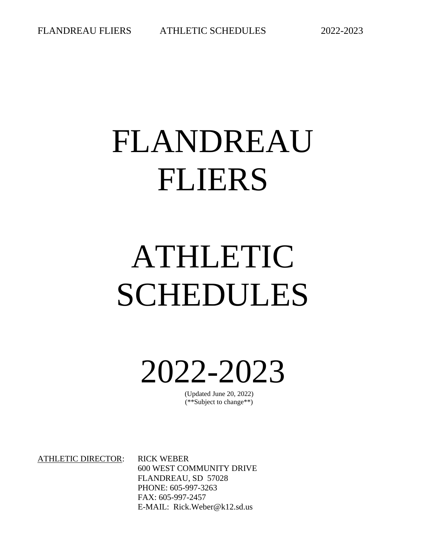# FLANDREAU FLIERS

# ATHLETIC SCHEDULES

2022-2023

(Updated June 20, 2022) (\*\*Subject to change\*\*)

ATHLETIC DIRECTOR: RICK WEBER

600 WEST COMMUNITY DRIVE FLANDREAU, SD 57028 PHONE: 605-997-3263 FAX: 605-997-2457 E-MAIL: Rick.Weber@k12.sd.us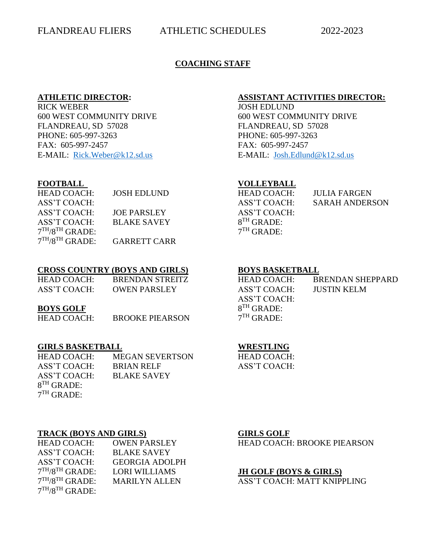#### **COACHING STAFF**

#### **ATHLETIC DIRECTOR: ASSISTANT ACTIVITIES DIRECTOR:**

RICK WEBER JOSH EDLUND 600 WEST COMMUNITY DRIVE 600 WEST COMMUNITY DRIVE FLANDREAU, SD 57028 FLANDREAU, SD 57028 PHONE: 605-997-3263 PHONE: 605-997-3263 FAX: 605-997-2457 FAX: 605-997-2457 E-MAIL: [Rick.Weber@k12.sd.us](mailto:Rick.Weber@k12.sd.us) E-MAIL: [Josh.Edlund@k12.sd.us](mailto:Josh.Edlund@k12.sd.us)

| <b>HEAD COACH:</b> | JOSH EDLUND        | HEAD COACH:     | JULIA FARGEN   |
|--------------------|--------------------|-----------------|----------------|
| ASS'T COACH:       |                    | ASS'T COACH:    | SARAH ANDERSON |
| ASS'T COACH:       | JOE PARSLEY        | ASS'T COACH:    |                |
| ASS'T COACH:       | <b>BLAKE SAVEY</b> | $8^{TH}$ GRADE: |                |
| $7TH/8TH$ GRADE:   |                    | $7TH$ GRADE:    |                |

7 TH/8TH GRADE: GARRETT CARR

#### **CROSS COUNTRY (BOYS AND GIRLS) BOYS BASKETBALL**

| HEAD COACH:        | BRENDAN STREITZ        | HEAD COACH:  | <b>BRENDAN SHEPPARD</b> |
|--------------------|------------------------|--------------|-------------------------|
| ASS'T COACH:       | <b>OWEN PARSLEY</b>    | ASS'T COACH: | JUSTIN KELM             |
|                    |                        | ASS'T COACH: |                         |
| <b>BOYS GOLF</b>   |                        | $8TH$ GRADE: |                         |
| <b>HEAD COACH:</b> | <b>BROOKE PIEARSON</b> | $7TH$ GRADE: |                         |

#### **GIRLS BASKETBALL WRESTLING**

| <b>HEAD COACH:</b> | <b>MEGAN SEVERTSON</b> |
|--------------------|------------------------|
| ASS'T COACH:       | <b>BRIAN RELF</b>      |
| ASS'T COACH:       | <b>BLAKE SAVEY</b>     |
| $8TH$ GRADE:       |                        |
| $7TH$ GRADE:       |                        |

#### **TRACK (BOYS AND GIRLS) GIRLS GOLF**

| <b>HEAD COACH:</b> | <b>OWEN PARSLEY</b>   |
|--------------------|-----------------------|
| ASS'T COACH:       | <b>BLAKE SAVEY</b>    |
| ASS'T COACH:       | <b>GEORGIA ADOLPH</b> |
| $7TH/8TH$ GRADE:   | <b>LORI WILLIAMS</b>  |
| $7TH/8TH$ GRADE:   | <b>MARILYN ALLEN</b>  |
| $7TH/8TH$ GRADE:   |                       |

HEAD COACH: ASS'T COACH:

HEAD COACH: BROOKE PIEARSON

#### JH GOLF (BOYS & GIRLS)

ASS'T COACH: MATT KNIPPLING

## **FOOTBALL VOLLEYBALL**

| IEAD COACH:          |  |
|----------------------|--|
| ASS'T COACH:         |  |
| ASS'T COACH:         |  |
| $B^{TH}$ GRADE:      |  |
| <sup>TH</sup> GRADE: |  |

| HEAD COACH:  | <b>BRENDAN SHEPPARD</b> |
|--------------|-------------------------|
| ASS'T COACH: | <b>JUSTIN KELM</b>      |
| ASS'T COACH: |                         |
| $8TH$ GRADE: |                         |
| $7TH$ GRADE: |                         |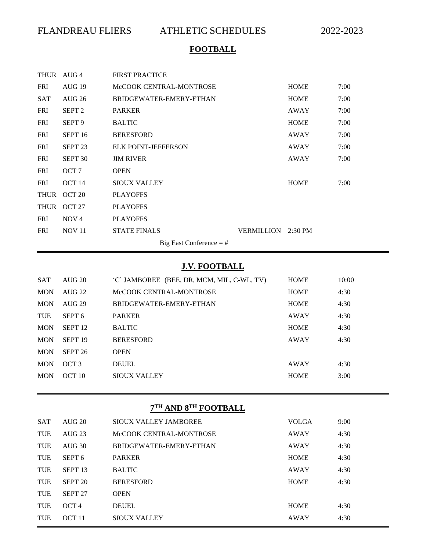# **FOOTBALL**

|             | THUR AUG 4                | <b>FIRST PRACTICE</b>      |                    |             |      |  |
|-------------|---------------------------|----------------------------|--------------------|-------------|------|--|
| <b>FRI</b>  | AUG <sub>19</sub>         | McCOOK CENTRAL-MONTROSE    |                    | <b>HOME</b> | 7:00 |  |
| <b>SAT</b>  | AIIG 26                   | BRIDGEWATER-EMERY-ETHAN    |                    | <b>HOME</b> | 7:00 |  |
| <b>FRI</b>  | SEPT <sub>2</sub>         | <b>PARKER</b>              |                    | AWAY        | 7:00 |  |
| <b>FRI</b>  | SEPT <sub>9</sub>         | <b>BALTIC</b>              |                    | <b>HOME</b> | 7:00 |  |
| <b>FRI</b>  | SEPT <sub>16</sub>        | <b>BERESFORD</b>           |                    | AWAY        | 7:00 |  |
| <b>FRI</b>  | SEPT <sub>23</sub>        | <b>ELK POINT-JEFFERSON</b> |                    | AWAY        | 7:00 |  |
| <b>FRI</b>  | SEPT <sub>30</sub>        | <b>JIM RIVER</b>           |                    | AWAY        | 7:00 |  |
| <b>FRI</b>  | OCT <sub>7</sub>          | <b>OPEN</b>                |                    |             |      |  |
| <b>FRI</b>  | OCT 14                    | <b>SIOUX VALLEY</b>        |                    | <b>HOME</b> | 7:00 |  |
| <b>THUR</b> | OCT <sub>20</sub>         | <b>PLAYOFFS</b>            |                    |             |      |  |
| <b>THUR</b> | OCT 27                    | <b>PLAYOFFS</b>            |                    |             |      |  |
| <b>FRI</b>  | NOV <sub>4</sub>          | <b>PLAYOFFS</b>            |                    |             |      |  |
| <b>FRI</b>  | <b>NOV 11</b>             | <b>STATE FINALS</b>        | VERMILLION 2:30 PM |             |      |  |
|             | Big East Conference $=$ # |                            |                    |             |      |  |

## **J.V. FOOTBALL**

| <b>SAT</b> | AIIG 20            | 'C' JAMBOREE (BEE, DR, MCM, MIL, C-WL, TV) | <b>HOME</b> | 10:00 |
|------------|--------------------|--------------------------------------------|-------------|-------|
| <b>MON</b> | AIIG 22            | McCOOK CENTRAL-MONTROSE                    | <b>HOME</b> | 4:30  |
| <b>MON</b> | <b>AUG 29</b>      | BRIDGEWATER-EMERY-ETHAN                    | <b>HOME</b> | 4:30  |
| <b>TUE</b> | SEPT <sub>6</sub>  | <b>PARKER</b>                              | AWAY        | 4:30  |
| <b>MON</b> | SEPT <sub>12</sub> | <b>BALTIC</b>                              | <b>HOME</b> | 4:30  |
| <b>MON</b> | SEPT <sub>19</sub> | <b>BERESFORD</b>                           | AWAY        | 4:30  |
| <b>MON</b> | SEPT <sub>26</sub> | <b>OPEN</b>                                |             |       |
| <b>MON</b> | OCT <sub>3</sub>   | <b>DEUEL</b>                               | AWAY        | 4:30  |
| <b>MON</b> | OCT 10             | <b>SIOUX VALLEY</b>                        | <b>HOME</b> | 3:00  |

#### **7 TH AND 8 TH FOOTBALL**

| <b>SAT</b> | AI/G20             | SIOUX VALLEY JAMBOREE   | <b>VOLGA</b> | 9:00 |
|------------|--------------------|-------------------------|--------------|------|
| TUE        | $AUG$ 23           | McCOOK CENTRAL-MONTROSE | AWAY         | 4:30 |
| <b>TUE</b> | AUG <sub>30</sub>  | BRIDGEWATER-EMERY-ETHAN | AWAY         | 4:30 |
| <b>TUE</b> | SEPT <sub>6</sub>  | <b>PARKER</b>           | <b>HOME</b>  | 4:30 |
| <b>TUE</b> | SEPT <sub>13</sub> | <b>BALTIC</b>           | AWAY         | 4:30 |
| TUE        | SEPT <sub>20</sub> | <b>BERESFORD</b>        | <b>HOME</b>  | 4:30 |
| <b>TUE</b> | SEPT <sub>27</sub> | <b>OPEN</b>             |              |      |
| <b>TUE</b> | OCT <sub>4</sub>   | <b>DEUEL</b>            | <b>HOME</b>  | 4:30 |
| <b>TUE</b> | $OCT$ 11           | <b>SIOUX VALLEY</b>     | AWAY         | 4:30 |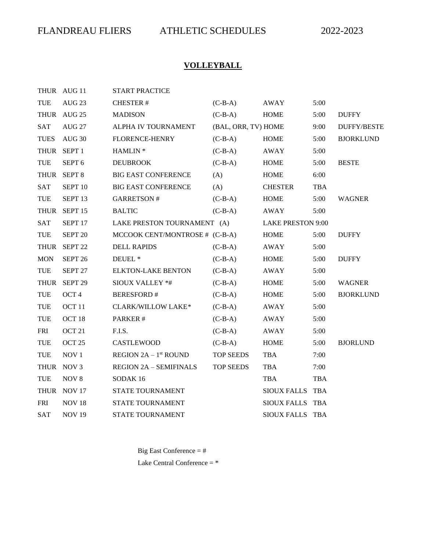# **VOLLEYBALL**

|             | THUR AUG 11        | <b>START PRACTICE</b>          |                     |                          |            |                    |
|-------------|--------------------|--------------------------------|---------------------|--------------------------|------------|--------------------|
| <b>TUE</b>  | <b>AUG 23</b>      | <b>CHESTER#</b>                | $(C-B-A)$           | <b>AWAY</b>              | 5:00       |                    |
|             | THUR AUG 25        | <b>MADISON</b>                 | $(C-B-A)$           | <b>HOME</b>              | 5:00       | <b>DUFFY</b>       |
| <b>SAT</b>  | <b>AUG 27</b>      | ALPHA IV TOURNAMENT            | (BAL, ORR, TV) HOME |                          | 9:00       | <b>DUFFY/BESTE</b> |
| <b>TUES</b> | <b>AUG 30</b>      | FLORENCE-HENRY                 | $(C-B-A)$           | HOME                     | 5:00       | <b>BJORKLUND</b>   |
| <b>THUR</b> | SEPT <sub>1</sub>  | HAMLIN <sup>*</sup>            | $(C-B-A)$           | <b>AWAY</b>              | 5:00       |                    |
| <b>TUE</b>  | SEPT <sub>6</sub>  | <b>DEUBROOK</b>                | $(C-B-A)$           | <b>HOME</b>              | 5:00       | <b>BESTE</b>       |
| <b>THUR</b> | SEPT <sub>8</sub>  | <b>BIG EAST CONFERENCE</b>     | (A)                 | <b>HOME</b>              | 6:00       |                    |
| <b>SAT</b>  | SEPT <sub>10</sub> | <b>BIG EAST CONFERENCE</b>     | (A)                 | <b>CHESTER</b>           | <b>TBA</b> |                    |
| <b>TUE</b>  | SEPT <sub>13</sub> | <b>GARRETSON#</b>              | $(C-B-A)$           | <b>HOME</b>              | 5:00       | <b>WAGNER</b>      |
| <b>THUR</b> | SEPT <sub>15</sub> | <b>BALTIC</b>                  | $(C-B-A)$           | AWAY                     | 5:00       |                    |
| <b>SAT</b>  | SEPT <sub>17</sub> | LAKE PRESTON TOURNAMENT (A)    |                     | <b>LAKE PRESTON 9:00</b> |            |                    |
| <b>TUE</b>  | SEPT 20            | MCCOOK CENT/MONTROSE # (C-B-A) |                     | <b>HOME</b>              | 5:00       | <b>DUFFY</b>       |
| <b>THUR</b> | SEPT <sub>22</sub> | <b>DELL RAPIDS</b>             | $(C-B-A)$           | AWAY                     | 5:00       |                    |
| <b>MON</b>  | SEPT <sub>26</sub> | DEUEL <sup>*</sup>             | $(C-B-A)$           | <b>HOME</b>              | 5:00       | <b>DUFFY</b>       |
| <b>TUE</b>  | SEPT <sub>27</sub> | <b>ELKTON-LAKE BENTON</b>      | $(C-B-A)$           | AWAY                     | 5:00       |                    |
| <b>THUR</b> | SEPT <sub>29</sub> | <b>SIOUX VALLEY *#</b>         | $(C-B-A)$           | <b>HOME</b>              | 5:00       | <b>WAGNER</b>      |
| <b>TUE</b>  | OCT <sub>4</sub>   | BERESFORD #                    | $(C-B-A)$           | <b>HOME</b>              | 5:00       | <b>BJORKLUND</b>   |
| <b>TUE</b>  | OCT <sub>11</sub>  | <b>CLARK/WILLOW LAKE*</b>      | $(C-B-A)$           | AWAY                     | 5:00       |                    |
| <b>TUE</b>  | OCT <sub>18</sub>  | PARKER#                        | $(C-B-A)$           | AWAY                     | 5:00       |                    |
| <b>FRI</b>  | OCT <sub>21</sub>  | F.I.S.                         | $(C-B-A)$           | AWAY                     | 5:00       |                    |
| <b>TUE</b>  | OCT <sub>25</sub>  | <b>CASTLEWOOD</b>              | $(C-B-A)$           | <b>HOME</b>              | 5:00       | <b>BJORLUND</b>    |
| <b>TUE</b>  | NOV <sub>1</sub>   | <b>REGION 2A - 1st ROUND</b>   | <b>TOP SEEDS</b>    | <b>TBA</b>               | 7:00       |                    |
|             | THUR NOV 3         | <b>REGION 2A - SEMIFINALS</b>  | <b>TOP SEEDS</b>    | TBA                      | 7:00       |                    |
| <b>TUE</b>  | NOV <sub>8</sub>   | SODAK <sub>16</sub>            |                     | <b>TBA</b>               | <b>TBA</b> |                    |
|             | THUR NOV 17        | STATE TOURNAMENT               |                     | SIOUX FALLS TBA          |            |                    |
| <b>FRI</b>  | <b>NOV 18</b>      | STATE TOURNAMENT               |                     | SIOUX FALLS TBA          |            |                    |
| <b>SAT</b>  | <b>NOV 19</b>      | STATE TOURNAMENT               |                     | SIOUX FALLS TBA          |            |                    |

Big East Conference = #

Lake Central Conference  $=$   $*$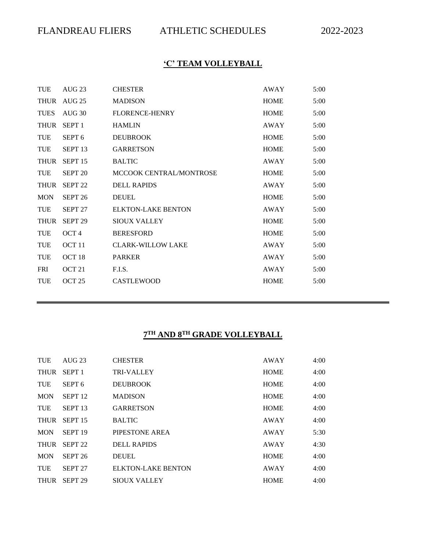# **'C' TEAM VOLLEYBALL**

| TUE         | AUG <sub>23</sub>  | <b>CHESTER</b>            | AWAY        | 5:00 |
|-------------|--------------------|---------------------------|-------------|------|
| THUR        | AUG 25             | <b>MADISON</b>            | <b>HOME</b> | 5:00 |
| <b>TUES</b> | AUG 30             | <b>FLORENCE-HENRY</b>     | HOME        | 5:00 |
| <b>THUR</b> | SEPT <sub>1</sub>  | <b>HAMLIN</b>             | AWAY        | 5:00 |
| TUE         | SEPT <sub>6</sub>  | <b>DEUBROOK</b>           | <b>HOME</b> | 5:00 |
| TUE         | SEPT <sub>13</sub> | <b>GARRETSON</b>          | <b>HOME</b> | 5:00 |
| <b>THUR</b> | SEPT <sub>15</sub> | <b>BALTIC</b>             | AWAY        | 5:00 |
| TUE         | SEPT <sub>20</sub> | MCCOOK CENTRAL/MONTROSE   | <b>HOME</b> | 5:00 |
| <b>THUR</b> | SEPT <sub>22</sub> | <b>DELL RAPIDS</b>        | AWAY        | 5:00 |
| <b>MON</b>  | SEPT <sub>26</sub> | <b>DEUEL</b>              | <b>HOME</b> | 5:00 |
| TUE         | SEPT 27            | <b>ELKTON-LAKE BENTON</b> | AWAY        | 5:00 |
| <b>THUR</b> | SEPT <sub>29</sub> | <b>SIOUX VALLEY</b>       | <b>HOME</b> | 5:00 |
| <b>TUE</b>  | OCT <sub>4</sub>   | <b>BERESFORD</b>          | <b>HOME</b> | 5:00 |
| <b>TUE</b>  | OCT <sub>11</sub>  | <b>CLARK-WILLOW LAKE</b>  | AWAY        | 5:00 |
| <b>TUE</b>  | OCT <sub>18</sub>  | <b>PARKER</b>             | AWAY        | 5:00 |
| <b>FRI</b>  | OCT <sub>21</sub>  | F.I.S.                    | AWAY        | 5:00 |
| <b>TUE</b>  | OCT <sub>25</sub>  | <b>CASTLEWOOD</b>         | <b>HOME</b> | 5:00 |
|             |                    |                           |             |      |

#### **7 TH AND 8 TH GRADE VOLLEYBALL**

| <b>TUE</b>  | <b>AUG 23</b>      | <b>CHESTER</b>            | AWAY        | 4:00 |
|-------------|--------------------|---------------------------|-------------|------|
| <b>THUR</b> | SEPT <sub>1</sub>  | <b>TRI-VALLEY</b>         | <b>HOME</b> | 4:00 |
| <b>TUE</b>  | SEPT <sub>6</sub>  | <b>DEUBROOK</b>           | <b>HOME</b> | 4:00 |
| <b>MON</b>  | SEPT <sub>12</sub> | <b>MADISON</b>            | <b>HOME</b> | 4:00 |
| <b>TUE</b>  | SEPT <sub>13</sub> | <b>GARRETSON</b>          | <b>HOME</b> | 4:00 |
| <b>THUR</b> | SEPT <sub>15</sub> | <b>BALTIC</b>             | <b>AWAY</b> | 4:00 |
| <b>MON</b>  | SEPT <sub>19</sub> | PIPESTONE AREA            | AWAY        | 5:30 |
| <b>THUR</b> | SEPT <sub>22</sub> | <b>DELL RAPIDS</b>        | AWAY        | 4:30 |
| <b>MON</b>  | SEPT <sub>26</sub> | <b>DEUEL</b>              | <b>HOME</b> | 4:00 |
| <b>TUE</b>  | SEPT <sub>27</sub> | <b>ELKTON-LAKE BENTON</b> | AWAY        | 4:00 |
| <b>THUR</b> | SEPT <sub>29</sub> | <b>SIQUX VALLEY</b>       | <b>HOME</b> | 4:00 |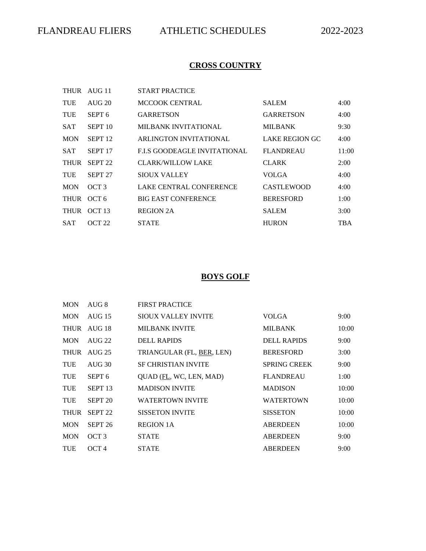## **CROSS COUNTRY**

| <b>THUR</b> | AUG 11             | <b>START PRACTICE</b>               |                       |            |
|-------------|--------------------|-------------------------------------|-----------------------|------------|
| TUE         | AIJG 20            | <b>MCCOOK CENTRAL</b>               | <b>SALEM</b>          | 4:00       |
| <b>TUE</b>  | SEPT <sub>6</sub>  | <b>GARRETSON</b>                    | <b>GARRETSON</b>      | 4:00       |
| <b>SAT</b>  | SEPT <sub>10</sub> | <b>MILBANK INVITATIONAL</b>         | <b>MILBANK</b>        | 9:30       |
| <b>MON</b>  | SEPT <sub>12</sub> | ARLINGTON INVITATIONAL              | <b>LAKE REGION GC</b> | 4:00       |
| <b>SAT</b>  | SEPT <sub>17</sub> | <b>F.I.S GOODEAGLE INVITATIONAL</b> | <b>FLANDREAU</b>      | 11:00      |
| <b>THUR</b> | SEPT <sub>22</sub> | <b>CLARK/WILLOW LAKE</b>            | <b>CLARK</b>          | 2:00       |
| TUE         | SEPT <sub>27</sub> | SIOUX VALLEY                        | <b>VOLGA</b>          | 4:00       |
| <b>MON</b>  | OCT <sub>3</sub>   | LAKE CENTRAL CONFERENCE             | <b>CASTLEWOOD</b>     | 4:00       |
| <b>THUR</b> | OCT <sub>6</sub>   | <b>BIG EAST CONFERENCE</b>          | <b>BERESFORD</b>      | 1:00       |
| <b>THUR</b> | OCT 13             | <b>REGION 2A</b>                    | <b>SALEM</b>          | 3:00       |
| <b>SAT</b>  | OCT 22             | <b>STATE</b>                        | <b>HURON</b>          | <b>TBA</b> |

## **BOYS GOLF**

| <b>MON</b>  | AUG 8              | <b>FIRST PRACTICE</b>      |                     |       |
|-------------|--------------------|----------------------------|---------------------|-------|
| <b>MON</b>  | <b>AUG 15</b>      | SIOUX VALLEY INVITE        | <b>VOLGA</b>        | 9:00  |
|             | THUR AUG 18        | <b>MILBANK INVITE</b>      | <b>MILBANK</b>      | 10:00 |
| <b>MON</b>  | AIJG 22            | <b>DELL RAPIDS</b>         | <b>DELL RAPIDS</b>  | 9:00  |
| <b>THUR</b> | <b>AUG 25</b>      | TRIANGULAR (FL, BER, LEN)  | <b>BERESFORD</b>    | 3:00  |
| <b>TUE</b>  | AI/G30             | <b>SF CHRISTIAN INVITE</b> | <b>SPRING CREEK</b> | 9:00  |
| <b>TUE</b>  | SEPT <sub>6</sub>  | QUAD (FL, WC, LEN, MAD)    | <b>FLANDREAU</b>    | 1:00  |
| <b>TUE</b>  | SEPT <sub>13</sub> | <b>MADISON INVITE</b>      | <b>MADISON</b>      | 10:00 |
| <b>TUE</b>  | SEPT <sub>20</sub> | <b>WATERTOWN INVITE</b>    | <b>WATERTOWN</b>    | 10:00 |
| <b>THUR</b> | SEPT <sub>22</sub> | <b>SISSETON INVITE</b>     | <b>SISSETON</b>     | 10:00 |
| <b>MON</b>  | SEPT <sub>26</sub> | <b>REGION 1A</b>           | <b>ABERDEEN</b>     | 10:00 |
| <b>MON</b>  | OCT <sub>3</sub>   | <b>STATE</b>               | <b>ABERDEEN</b>     | 9:00  |
| <b>TUE</b>  | OCT <sub>4</sub>   | <b>STATE</b>               | <b>ABERDEEN</b>     | 9:00  |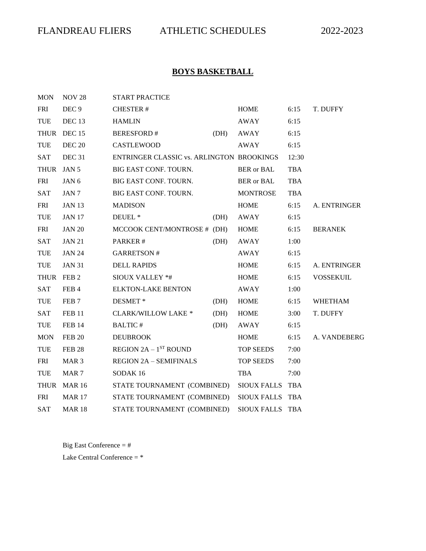# **BOYS BASKETBALL**

| <b>MON</b>  | <b>NOV 28</b>     | <b>START PRACTICE</b>                        |      |                          |            |                  |
|-------------|-------------------|----------------------------------------------|------|--------------------------|------------|------------------|
| <b>FRI</b>  | DEC <sub>9</sub>  | <b>CHESTER#</b>                              |      | <b>HOME</b>              | 6:15       | T. DUFFY         |
| <b>TUE</b>  | DEC <sub>13</sub> | <b>HAMLIN</b>                                |      | AWAY                     | 6:15       |                  |
|             | THUR DEC 15       | <b>BERESFORD#</b>                            | (DH) | AWAY                     | 6:15       |                  |
| <b>TUE</b>  | <b>DEC 20</b>     | CASTLEWOOD                                   |      | AWAY                     | 6:15       |                  |
| <b>SAT</b>  | DEC <sub>31</sub> | ENTRINGER CLASSIC vs. ARLINGTON BROOKINGS    |      |                          | 12:30      |                  |
| THUR JAN 5  |                   | BIG EAST CONF. TOURN.                        |      | <b>BER</b> or <b>BAL</b> | <b>TBA</b> |                  |
| <b>FRI</b>  | JAN <sub>6</sub>  | BIG EAST CONF. TOURN.                        |      | <b>BER</b> or <b>BAL</b> | <b>TBA</b> |                  |
| <b>SAT</b>  | JAN 7             | BIG EAST CONF. TOURN.                        |      | <b>MONTROSE</b>          | <b>TBA</b> |                  |
| <b>FRI</b>  | <b>JAN 13</b>     | <b>MADISON</b>                               |      | <b>HOME</b>              | 6:15       | A. ENTRINGER     |
| TUE         | <b>JAN 17</b>     | DEUEL <sup>*</sup>                           | (DH) | AWAY                     | 6:15       |                  |
| <b>FRI</b>  | <b>JAN 20</b>     | MCCOOK CENT/MONTROSE # (DH)                  |      | HOME                     | 6:15       | <b>BERANEK</b>   |
| <b>SAT</b>  | <b>JAN 21</b>     | PARKER#                                      | (DH) | AWAY                     | 1:00       |                  |
| TUE         | <b>JAN 24</b>     | <b>GARRETSON#</b>                            |      | AWAY                     | 6:15       |                  |
| <b>TUE</b>  | <b>JAN 31</b>     | <b>DELL RAPIDS</b>                           |      | <b>HOME</b>              | 6:15       | A. ENTRINGER     |
| THUR FEB 2  |                   | <b>SIOUX VALLEY *#</b>                       |      | <b>HOME</b>              | 6:15       | <b>VOSSEKUIL</b> |
| <b>SAT</b>  | FEB 4             | <b>ELKTON-LAKE BENTON</b>                    |      | AWAY                     | 1:00       |                  |
| TUE         | FEB <sub>7</sub>  | DESMET*                                      | (DH) | <b>HOME</b>              | 6:15       | <b>WHETHAM</b>   |
| <b>SAT</b>  | <b>FEB 11</b>     | <b>CLARK/WILLOW LAKE *</b>                   | (DH) | HOME                     | 3:00       | T. DUFFY         |
| <b>TUE</b>  | <b>FEB 14</b>     | <b>BALTIC#</b>                               | (DH) | AWAY                     | 6:15       |                  |
| <b>MON</b>  | <b>FEB 20</b>     | <b>DEUBROOK</b>                              |      | <b>HOME</b>              | 6:15       | A. VANDEBERG     |
| TUE         | <b>FEB 28</b>     | <b>REGION 2A - <math>1^{ST}</math> ROUND</b> |      | <b>TOP SEEDS</b>         | 7:00       |                  |
| <b>FRI</b>  | MAR <sub>3</sub>  | <b>REGION 2A - SEMIFINALS</b>                |      | <b>TOP SEEDS</b>         | 7:00       |                  |
| TUE         | MAR <sub>7</sub>  | SODAK <sub>16</sub>                          |      | TBA                      | 7:00       |                  |
| <b>THUR</b> | <b>MAR 16</b>     | STATE TOURNAMENT (COMBINED)                  |      | SIOUX FALLS TBA          |            |                  |
| <b>FRI</b>  | <b>MAR 17</b>     | STATE TOURNAMENT (COMBINED)                  |      | SIOUX FALLS TBA          |            |                  |
| <b>SAT</b>  | <b>MAR 18</b>     | STATE TOURNAMENT (COMBINED)                  |      | SIOUX FALLS TBA          |            |                  |

Big East Conference = #

Lake Central Conference = \*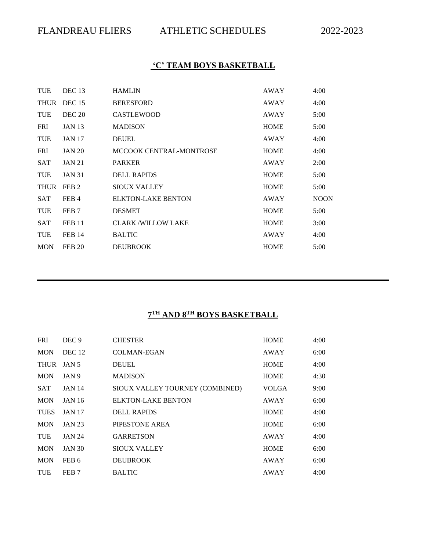## **'C' TEAM BOYS BASKETBALL**

| <b>TUE</b>  | DEC <sub>13</sub> | <b>HAMLIN</b>             | <b>AWAY</b> | 4:00        |
|-------------|-------------------|---------------------------|-------------|-------------|
|             | THUR DEC 15       | <b>BERESFORD</b>          | AWAY        | 4:00        |
| <b>TUE</b>  | <b>DEC 20</b>     | <b>CASTLEWOOD</b>         | AWAY        | 5:00        |
| <b>FRI</b>  | <b>JAN 13</b>     | <b>MADISON</b>            | <b>HOME</b> | 5:00        |
| <b>TUE</b>  | <b>JAN 17</b>     | <b>DEUEL</b>              | AWAY        | 4:00        |
| <b>FRI</b>  | <b>JAN 20</b>     | MCCOOK CENTRAL-MONTROSE   | <b>HOME</b> | 4:00        |
| <b>SAT</b>  | <b>JAN 21</b>     | <b>PARKER</b>             | AWAY        | 2:00        |
| <b>TUE</b>  | <b>JAN 31</b>     | <b>DELL RAPIDS</b>        | <b>HOME</b> | 5:00        |
| <b>THUR</b> | FEB <sub>2</sub>  | <b>SIOUX VALLEY</b>       | <b>HOME</b> | 5:00        |
| <b>SAT</b>  | FEB 4             | <b>ELKTON-LAKE BENTON</b> | AWAY        | <b>NOON</b> |
| <b>TUE</b>  | FEB <sub>7</sub>  | <b>DESMET</b>             | <b>HOME</b> | 5:00        |
| <b>SAT</b>  | <b>FEB 11</b>     | <b>CLARK/WILLOW LAKE</b>  | <b>HOME</b> | 3:00        |
| <b>TUE</b>  | <b>FEB 14</b>     | <b>BALTIC</b>             | AWAY        | 4:00        |
| <b>MON</b>  | <b>FEB 20</b>     | <b>DEUBROOK</b>           | <b>HOME</b> | 5:00        |

#### **7 TH AND 8TH BOYS BASKETBALL**

| <b>FRI</b>  | DEC <sub>9</sub>  | <b>CHESTER</b>                  | <b>HOME</b>  | 4:00 |
|-------------|-------------------|---------------------------------|--------------|------|
| <b>MON</b>  | DEC <sub>12</sub> | <b>COLMAN-EGAN</b>              | <b>AWAY</b>  | 6:00 |
| THUR JAN 5  |                   | <b>DEUEL</b>                    | <b>HOME</b>  | 4:00 |
| <b>MON</b>  | JAN 9             | <b>MADISON</b>                  | <b>HOME</b>  | 4:30 |
| <b>SAT</b>  | <b>JAN 14</b>     | SIOUX VALLEY TOURNEY (COMBINED) | <b>VOLGA</b> | 9:00 |
| <b>MON</b>  | <b>JAN 16</b>     | <b>ELKTON-LAKE BENTON</b>       | AWAY         | 6:00 |
| <b>TUES</b> | <b>JAN 17</b>     | <b>DELL RAPIDS</b>              | <b>HOME</b>  | 4:00 |
| <b>MON</b>  | <b>JAN 23</b>     | PIPESTONE AREA                  | <b>HOME</b>  | 6:00 |
| <b>TUE</b>  | <b>JAN 24</b>     | <b>GARRETSON</b>                | AWAY         | 4:00 |
| <b>MON</b>  | <b>JAN 30</b>     | <b>SIOUX VALLEY</b>             | <b>HOME</b>  | 6:00 |
| <b>MON</b>  | FEB 6             | <b>DEUBROOK</b>                 | AWAY         | 6:00 |
| <b>TUE</b>  | FEB <sub>7</sub>  | <b>BALTIC</b>                   | AWAY         | 4:00 |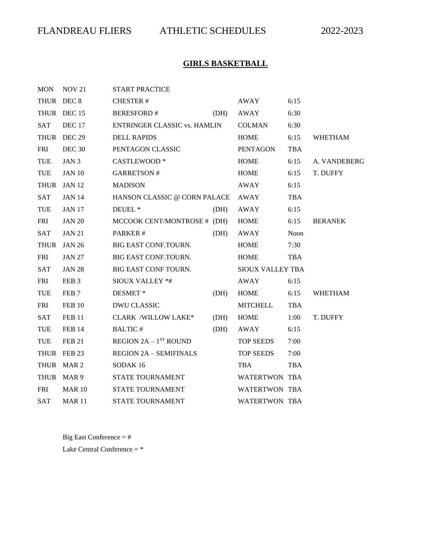# **GIRLS BASKETBALL**

| MON        | <b>NOV 21</b>    | <b>START PRACTICE</b>                        |      |                         |            |                |
|------------|------------------|----------------------------------------------|------|-------------------------|------------|----------------|
| THUR DEC 8 |                  | <b>CHESTER#</b>                              |      | AWAY                    | 6:15       |                |
|            | THUR DEC 15      | <b>BERESFORD#</b>                            | (DH) | AWAY                    | 6:30       |                |
| SAT        | DEC 17           | ENTRINGER CLASSIC vs. HAMLIN                 |      | COLMAN                  | 6:30       |                |
|            | THUR DEC 29      | <b>DELL RAPIDS</b>                           |      | <b>HOME</b>             | 6:15       | <b>WHETHAM</b> |
| <b>FRI</b> | <b>DEC 30</b>    | PENTAGON CLASSIC                             |      | PENTAGON                | <b>TBA</b> |                |
| TUE        | JAN 3            | CASTLEWOOD *                                 |      | <b>HOME</b>             | 6:15       | A. VANDEBERG   |
| TUE        | <b>JAN 10</b>    | <b>GARRETSON#</b>                            |      | <b>HOME</b>             | 6:15       | T. DUFFY       |
|            | THUR JAN 12      | <b>MADISON</b>                               |      | AWAY                    | 6:15       |                |
| <b>SAT</b> | <b>JAN 14</b>    | HANSON CLASSIC @ CORN PALACE                 |      | AWAY                    | <b>TBA</b> |                |
| TUE        | <b>JAN 17</b>    | DEUEL <sup>*</sup>                           | (DH) | AWAY                    | 6:15       |                |
| FRI        | <b>JAN 20</b>    | MCCOOK CENT/MONTROSE # (DH)                  |      | <b>HOME</b>             | 6:15       | <b>BERANEK</b> |
| <b>SAT</b> | <b>JAN 21</b>    | PARKER#                                      | (DH) | AWAY                    | Noon       |                |
|            | THUR JAN 26      | BIG EAST CONF.TOURN.                         |      | HOME                    | 7:30       |                |
| <b>FRI</b> | <b>JAN 27</b>    | <b>BIG EAST CONF.TOURN.</b>                  |      | <b>HOME</b>             | <b>TBA</b> |                |
| <b>SAT</b> | <b>JAN 28</b>    | BIG EAST CONF TOURN.                         |      | <b>SIOUX VALLEY TBA</b> |            |                |
| FRI        | FEB <sub>3</sub> | <b>SIOUX VALLEY *#</b>                       |      | AWAY                    | 6:15       |                |
| <b>TUE</b> | FEB <sub>7</sub> | <b>DESMET*</b>                               | (DH) | <b>HOME</b>             | 6:15       | <b>WHETHAM</b> |
| <b>FRI</b> | <b>FEB 10</b>    | <b>DWU CLASSIC</b>                           |      | <b>MITCHELL</b>         | TBA        |                |
| <b>SAT</b> | <b>FEB 11</b>    | CLARK /WILLOW LAKE*                          | (DH) | <b>HOME</b>             | 1:00       | T. DUFFY       |
| TUE        | <b>FEB 14</b>    | <b>BALTIC#</b>                               | (DH) | AWAY                    | 6:15       |                |
| TUE        | <b>FEB 21</b>    | <b>REGION 2A - <math>1^{ST}</math> ROUND</b> |      | TOP SEEDS               | 7:00       |                |
|            | THUR FEB 23      | <b>REGION 2A - SEMIFINALS</b>                |      | TOP SEEDS               | 7:00       |                |
|            | THUR MAR 2       | SODAK <sub>16</sub>                          |      | <b>TBA</b>              | <b>TBA</b> |                |
|            | THUR MAR 9       | STATE TOURNAMENT                             |      | WATERTWON TBA           |            |                |
| <b>FRI</b> | MAR 10           | <b>STATE TOURNAMENT</b>                      |      | WATERTWON TBA           |            |                |
| <b>SAT</b> | <b>MAR11</b>     | STATE TOURNAMENT                             |      | <b>WATERTWON TBA</b>    |            |                |

Big East Conference = # Lake Central Conference = \*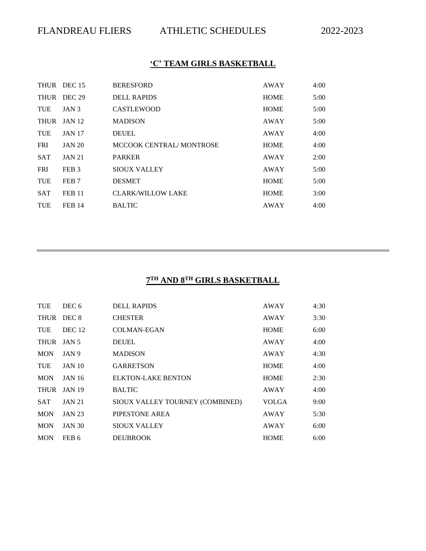# **'C' TEAM GIRLS BASKETBALL**

|             | THUR DEC 15      | <b>BERESFORD</b>         | AWAY        | 4:00 |
|-------------|------------------|--------------------------|-------------|------|
|             | THUR DEC 29      | DELL RAPIDS              | <b>HOME</b> | 5:00 |
| <b>TUE</b>  | JAN <sub>3</sub> | <b>CASTLEWOOD</b>        | <b>HOME</b> | 5:00 |
| <b>THUR</b> | <b>JAN 12</b>    | <b>MADISON</b>           | AWAY        | 5:00 |
| <b>TUE</b>  | <b>JAN 17</b>    | <b>DEUEL</b>             | AWAY        | 4:00 |
| <b>FRI</b>  | <b>JAN 20</b>    | MCCOOK CENTRAL/MONTROSE  | <b>HOME</b> | 4:00 |
| <b>SAT</b>  | <b>JAN 21</b>    | <b>PARKER</b>            | AWAY        | 2:00 |
| <b>FRI</b>  | FEB <sub>3</sub> | <b>SIOUX VALLEY</b>      | AWAY        | 5:00 |
| <b>TUE</b>  | FEB <sub>7</sub> | <b>DESMET</b>            | <b>HOME</b> | 5:00 |
| <b>SAT</b>  | <b>FEB 11</b>    | <b>CLARK/WILLOW LAKE</b> | <b>HOME</b> | 3:00 |
| TUE         | <b>FEB 14</b>    | <b>BALTIC</b>            | <b>AWAY</b> | 4:00 |

#### **7 TH AND 8TH GIRLS BASKETBALL**

| <b>TUE</b> | DEC 6             | <b>DELL RAPIDS</b>              | <b>AWAY</b>  | 4:30 |
|------------|-------------------|---------------------------------|--------------|------|
| THUR DEC 8 |                   | <b>CHESTER</b>                  | AWAY         | 3:30 |
| TUE        | DEC <sub>12</sub> | <b>COLMAN-EGAN</b>              | <b>HOME</b>  | 6:00 |
| THUR JAN 5 |                   | <b>DEUEL</b>                    | AWAY         | 4:00 |
| <b>MON</b> | JAN 9             | <b>MADISON</b>                  | AWAY         | 4:30 |
| TUE        | <b>JAN 10</b>     | <b>GARRETSON</b>                | <b>HOME</b>  | 4:00 |
| <b>MON</b> | <b>JAN 16</b>     | <b>ELKTON-LAKE BENTON</b>       | <b>HOME</b>  | 2:30 |
|            | THUR JAN 19       | <b>BALTIC</b>                   | <b>AWAY</b>  | 4:00 |
| <b>SAT</b> | <b>JAN 21</b>     | SIOUX VALLEY TOURNEY (COMBINED) | <b>VOLGA</b> | 9:00 |
| <b>MON</b> | <b>JAN 23</b>     | PIPESTONE AREA                  | <b>AWAY</b>  | 5:30 |
| <b>MON</b> | <b>JAN 30</b>     | <b>SIOUX VALLEY</b>             | AWAY         | 6:00 |
| <b>MON</b> | FEB 6             | <b>DEUBROOK</b>                 | <b>HOME</b>  | 6:00 |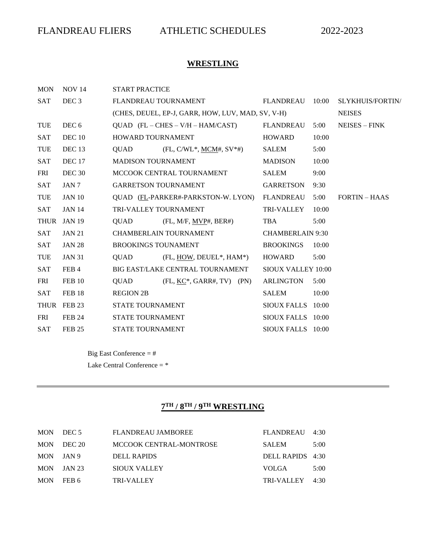# **WRESTLING**

| <b>MON</b> | <b>NOV 14</b>     | <b>START PRACTICE</b>      |                                                     |                           |       |                         |
|------------|-------------------|----------------------------|-----------------------------------------------------|---------------------------|-------|-------------------------|
| <b>SAT</b> | DEC <sub>3</sub>  |                            | FLANDREAU TOURNAMENT                                | FLANDREAU                 | 10:00 | <b>SLYKHUIS/FORTIN/</b> |
|            |                   |                            | (CHES, DEUEL, EP-J, GARR, HOW, LUV, MAD, SV, V-H)   |                           |       | <b>NEISES</b>           |
| <b>TUE</b> | DEC 6             |                            | $QUAD$ (FL – CHES – V/H – HAM/CAST)                 | FLANDREAU                 | 5:00  | $NEISES - FINK$         |
| <b>SAT</b> | DEC 10            | <b>HOWARD TOURNAMENT</b>   |                                                     | <b>HOWARD</b>             | 10:00 |                         |
| <b>TUE</b> | DEC <sub>13</sub> | QUAD                       | $(FL, C/WL^*, MCM^*, SV^*#)$                        | <b>SALEM</b>              | 5:00  |                         |
| <b>SAT</b> | <b>DEC</b> 17     | <b>MADISON TOURNAMENT</b>  |                                                     | MADISON                   | 10:00 |                         |
| <b>FRI</b> | DEC <sub>30</sub> |                            | MCCOOK CENTRAL TOURNAMENT                           | <b>SALEM</b>              | 9:00  |                         |
| <b>SAT</b> | JAN 7             |                            | <b>GARRETSON TOURNAMENT</b>                         | <b>GARRETSON</b>          | 9:30  |                         |
| <b>TUE</b> | <b>JAN 10</b>     |                            | QUAD (FL-PARKER#-PARKSTON-W. LYON)                  | <b>FLANDREAU</b>          | 5:00  | <b>FORTIN – HAAS</b>    |
| <b>SAT</b> | <b>JAN 14</b>     |                            | TRI-VALLEY TOURNAMENT                               | <b>TRI-VALLEY</b>         | 10:00 |                         |
|            | THUR JAN 19       | QUAD                       | $(FL, M/F, MVP\#, BER\#)$                           | TBA                       | 5:00  |                         |
| <b>SAT</b> | <b>JAN 21</b>     |                            | <b>CHAMBERLAIN TOURNAMENT</b>                       | <b>CHAMBERLAIN 9:30</b>   |       |                         |
| <b>SAT</b> | <b>JAN 28</b>     | <b>BROOKINGS TOUNAMENT</b> |                                                     | <b>BROOKINGS</b>          | 10:00 |                         |
| <b>TUE</b> | <b>JAN 31</b>     | QUAD                       | $(FL, HOW, DEUEL*, HAM*)$                           | HOWARD                    | 5:00  |                         |
| <b>SAT</b> | FEB 4             |                            | BIG EAST/LAKE CENTRAL TOURNAMENT                    | <b>SIOUX VALLEY 10:00</b> |       |                         |
| <b>FRI</b> | FEB 10            | QUAD                       | $(FL, \underline{KC}^*, \underline{GARR}, TV)$ (PN) | <b>ARLINGTON</b>          | 5:00  |                         |
| <b>SAT</b> | <b>FEB 18</b>     | <b>REGION 2B</b>           |                                                     | SALEM                     | 10:00 |                         |
|            | THUR FEB 23       | <b>STATE TOURNAMENT</b>    |                                                     | SIOUX FALLS 10:00         |       |                         |
| <b>FRI</b> | <b>FEB 24</b>     | <b>STATE TOURNAMENT</b>    |                                                     | SIOUX FALLS 10:00         |       |                         |
| <b>SAT</b> | <b>FEB 25</b>     | <b>STATE TOURNAMENT</b>    |                                                     | SIOUX FALLS 10:00         |       |                         |

Big East Conference = # Lake Central Conference = \*

#### **7 TH / 8TH / 9TH WRESTLING**

| MON DEC 5  | <b>FLANDREAU JAMBOREE</b> | FLANDREAU 4:30   |      |
|------------|---------------------------|------------------|------|
| MON DEC 20 | MCCOOK CENTRAL-MONTROSE   | <b>SALEM</b>     | 5:00 |
| MON JAN 9  | DELL RAPIDS               | DELL RAPIDS 4:30 |      |
| MON JAN 23 | <b>SIOUX VALLEY</b>       | <b>VOLGA</b>     | 5:00 |
| MON FEB 6  | <b>TRI-VALLEY</b>         | TRI-VALLEY 4:30  |      |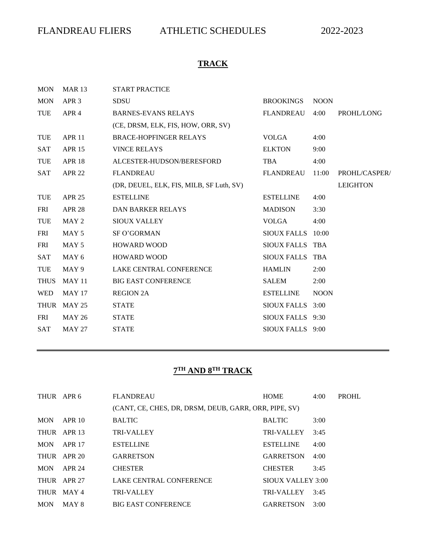# **TRACK**

| <b>MON</b>  | <b>MAR 13</b>     | <b>START PRACTICE</b>                    |                    |             |                 |
|-------------|-------------------|------------------------------------------|--------------------|-------------|-----------------|
| <b>MON</b>  | APR <sub>3</sub>  | <b>SDSU</b>                              | <b>BROOKINGS</b>   | <b>NOON</b> |                 |
| TUE         | APR 4             | <b>BARNES-EVANS RELAYS</b>               | <b>FLANDREAU</b>   | 4:00        | PROHL/LONG      |
|             |                   | (CE, DRSM, ELK, FIS, HOW, ORR, SV)       |                    |             |                 |
| TUE         | APR <sub>11</sub> | <b>BRACE-HOPFINGER RELAYS</b>            | VOLGA              | 4:00        |                 |
| <b>SAT</b>  | <b>APR 15</b>     | <b>VINCE RELAYS</b>                      | <b>ELKTON</b>      | 9:00        |                 |
| <b>TUE</b>  | <b>APR 18</b>     | ALCESTER-HUDSON/BERESFORD                | <b>TBA</b>         | 4:00        |                 |
| <b>SAT</b>  | <b>APR 22</b>     | <b>FLANDREAU</b>                         | <b>FLANDREAU</b>   | 11:00       | PROHL/CASPER/   |
|             |                   | (DR, DEUEL, ELK, FIS, MILB, SF Luth, SV) |                    |             | <b>LEIGHTON</b> |
| <b>TUE</b>  | <b>APR 25</b>     | <b>ESTELLINE</b>                         | <b>ESTELLINE</b>   | 4:00        |                 |
| <b>FRI</b>  | <b>APR 28</b>     | <b>DAN BARKER RELAYS</b>                 | <b>MADISON</b>     | 3:30        |                 |
| <b>TUE</b>  | MAY 2             | <b>SIOUX VALLEY</b>                      | <b>VOLGA</b>       | 4:00        |                 |
| <b>FRI</b>  | MAY <sub>5</sub>  | <b>SF O'GORMAN</b>                       | <b>SIOUX FALLS</b> | 10:00       |                 |
| <b>FRI</b>  | MAY 5             | <b>HOWARD WOOD</b>                       | SIOUX FALLS TBA    |             |                 |
| <b>SAT</b>  | MAY 6             | <b>HOWARD WOOD</b>                       | SIOUX FALLS TBA    |             |                 |
| <b>TUE</b>  | MAY 9             | LAKE CENTRAL CONFERENCE                  | <b>HAMLIN</b>      | 2:00        |                 |
| <b>THUS</b> | <b>MAY 11</b>     | <b>BIG EAST CONFERENCE</b>               | SALEM              | 2:00        |                 |
| <b>WED</b>  | <b>MAY 17</b>     | <b>REGION 2A</b>                         | <b>ESTELLINE</b>   | <b>NOON</b> |                 |
| <b>THUR</b> | <b>MAY 25</b>     | <b>STATE</b>                             | <b>SIOUX FALLS</b> | 3:00        |                 |
| <b>FRI</b>  | <b>MAY 26</b>     | <b>STATE</b>                             | SIOUX FALLS 9:30   |             |                 |
| <b>SAT</b>  | <b>MAY 27</b>     | <b>STATE</b>                             | SIOUX FALLS 9:00   |             |                 |

#### **7 TH AND 8TH TRACK**

| THUR APR 6  |               | <b>FLANDREAU</b>                                      | <b>HOME</b>       | 4:00 | <b>PROHL</b> |
|-------------|---------------|-------------------------------------------------------|-------------------|------|--------------|
|             |               | (CANT, CE, CHES, DR, DRSM, DEUB, GARR, ORR, PIPE, SV) |                   |      |              |
| <b>MON</b>  | APR 10        | <b>BALTIC</b>                                         | <b>BALTIC</b>     | 3:00 |              |
| <b>THUR</b> | APR 13        | <b>TRI-VALLEY</b>                                     | <b>TRI-VALLEY</b> | 3:45 |              |
| <b>MON</b>  | <b>APR 17</b> | <b>ESTELLINE</b>                                      | <b>ESTELLINE</b>  | 4:00 |              |
|             | THUR APR 20   | <b>GARRETSON</b>                                      | <b>GARRETSON</b>  | 4:00 |              |
| <b>MON</b>  | APR 24        | <b>CHESTER</b>                                        | <b>CHESTER</b>    | 3:45 |              |
|             | THUR APR 27   | LAKE CENTRAL CONFERENCE                               | SIOUX VALLEY 3:00 |      |              |
| <b>THUR</b> | MAY 4         | <b>TRI-VALLEY</b>                                     | <b>TRI-VALLEY</b> | 3:45 |              |
| <b>MON</b>  | MAY 8         | <b>BIG EAST CONFERENCE</b>                            | <b>GARRETSON</b>  | 3:00 |              |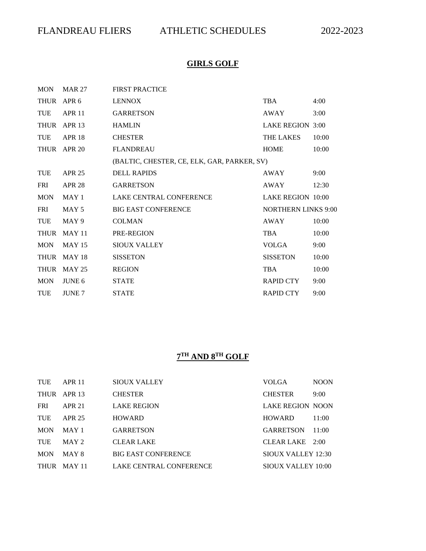# **GIRLS GOLF**

| <b>MON</b>  | <b>MAR 27</b>    | <b>FIRST PRACTICE</b>                       |                            |       |
|-------------|------------------|---------------------------------------------|----------------------------|-------|
| THUR        | APR <sub>6</sub> | <b>LENNOX</b>                               | TBA                        | 4:00  |
| <b>TUE</b>  | <b>APR 11</b>    | <b>GARRETSON</b>                            | <b>AWAY</b>                | 3:00  |
| <b>THUR</b> | APR 13           | <b>HAMLIN</b>                               | LAKE REGION 3:00           |       |
| <b>TUE</b>  | <b>APR 18</b>    | <b>CHESTER</b>                              | <b>THE LAKES</b>           | 10:00 |
|             | THUR APR 20      | <b>FLANDREAU</b>                            | <b>HOME</b>                | 10:00 |
|             |                  | (BALTIC, CHESTER, CE, ELK, GAR, PARKER, SV) |                            |       |
| <b>TUE</b>  | APR 25           | <b>DELL RAPIDS</b>                          | <b>AWAY</b>                | 9:00  |
| <b>FRI</b>  | <b>APR 28</b>    | <b>GARRETSON</b>                            | AWAY                       | 12:30 |
| <b>MON</b>  | MAY 1            | LAKE CENTRAL CONFERENCE                     | <b>LAKE REGION 10:00</b>   |       |
| <b>FRI</b>  | MAY 5            | <b>BIG EAST CONFERENCE</b>                  | <b>NORTHERN LINKS 9:00</b> |       |
| <b>TUE</b>  | MAY 9            | <b>COLMAN</b>                               | AWAY                       | 10:00 |
| THUR        | <b>MAY 11</b>    | PRE-REGION                                  | <b>TBA</b>                 | 10:00 |
| <b>MON</b>  | <b>MAY 15</b>    | SIOUX VALLEY                                | <b>VOLGA</b>               | 9:00  |
| <b>THUR</b> | <b>MAY 18</b>    | <b>SISSETON</b>                             | <b>SISSETON</b>            | 10:00 |
| <b>THUR</b> | MAY 25           | <b>REGION</b>                               | <b>TBA</b>                 | 10:00 |
| <b>MON</b>  | JUNE 6           | <b>STATE</b>                                | <b>RAPID CTY</b>           | 9:00  |
| <b>TUE</b>  | <b>JUNE 7</b>    | <b>STATE</b>                                | <b>RAPID CTY</b>           | 9:00  |

### **7 TH AND 8TH GOLF**

| TUE        | <b>APR 11</b> | <b>SIOUX VALLEY</b>        | <b>VOLGA</b>              | <b>NOON</b> |
|------------|---------------|----------------------------|---------------------------|-------------|
|            | THUR APR 13   | <b>CHESTER</b>             | <b>CHESTER</b>            | 9:00        |
| <b>FRI</b> | APR 21        | <b>LAKE REGION</b>         | <b>LAKE REGION NOON</b>   |             |
| TUE        | APR 25        | <b>HOWARD</b>              | <b>HOWARD</b>             | 11:00       |
| <b>MON</b> | MAY 1         | <b>GARRETSON</b>           | <b>GARRETSON</b>          | 11:00       |
| TUE        | MAX 2         | <b>CLEAR LAKE</b>          | CLEAR LAKE 2:00           |             |
| <b>MON</b> | MAY 8         | <b>BIG EAST CONFERENCE</b> | SIOUX VALLEY 12:30        |             |
|            | THUR MAY 11   | LAKE CENTRAL CONFERENCE    | <b>SIOUX VALLEY 10:00</b> |             |